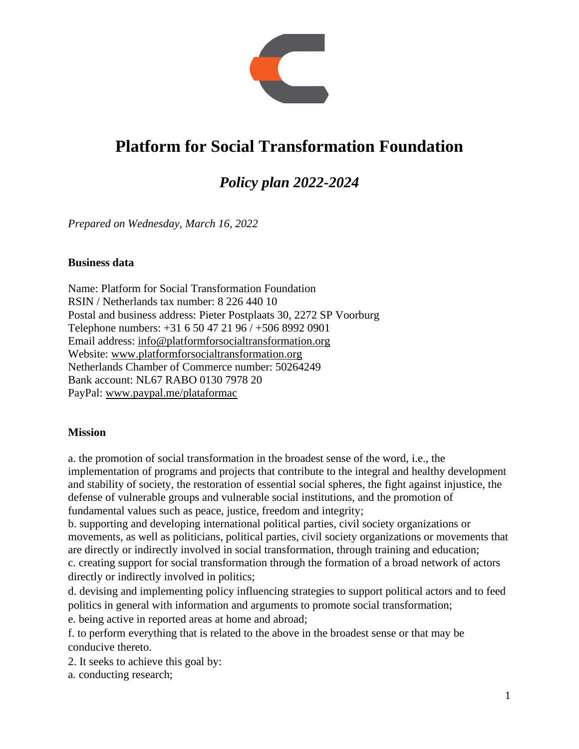

# **Platform for Social Transformation Foundation**

## *Policy plan 2022-2024*

*Prepared on Wednesday, March 16, 2022*

#### **Business data**

Name: Platform for Social Transformation Foundation RSIN / Netherlands tax number: 8 226 440 10 Postal and business address: Pieter Postplaats 30, 2272 SP Voorburg Telephone numbers: +31 6 50 47 21 96 / +506 8992 0901 Email address: [info@platformforsocialtransformation.org](mailto:info@platformforsocialtransformation.org) Website: [www.platformforsocialtransformation.org](http://www.platformforsocialtransformation.org/) Netherlands Chamber of Commerce number: 50264249 Bank account: NL67 RABO 0130 7978 20 PayPal: [www.paypal.me/plataformac](http://www.paypal.me/plataformac)

#### **Mission**

a. the promotion of social transformation in the broadest sense of the word, i.e., the implementation of programs and projects that contribute to the integral and healthy development and stability of society, the restoration of essential social spheres, the fight against injustice, the defense of vulnerable groups and vulnerable social institutions, and the promotion of fundamental values such as peace, justice, freedom and integrity;

b. supporting and developing international political parties, civil society organizations or movements, as well as politicians, political parties, civil society organizations or movements that are directly or indirectly involved in social transformation, through training and education; c. creating support for social transformation through the formation of a broad network of actors directly or indirectly involved in politics;

d. devising and implementing policy influencing strategies to support political actors and to feed politics in general with information and arguments to promote social transformation;

e. being active in reported areas at home and abroad;

f. to perform everything that is related to the above in the broadest sense or that may be conducive thereto.

2. It seeks to achieve this goal by:

a. conducting research;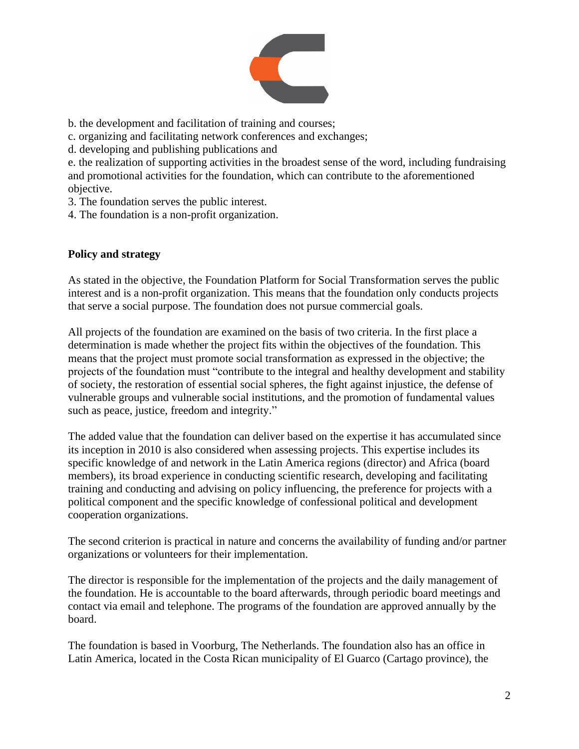

- b. the development and facilitation of training and courses;
- c. organizing and facilitating network conferences and exchanges;
- d. developing and publishing publications and

e. the realization of supporting activities in the broadest sense of the word, including fundraising and promotional activities for the foundation, which can contribute to the aforementioned objective.

- 3. The foundation serves the public interest.
- 4. The foundation is a non-profit organization.

## **Policy and strategy**

As stated in the objective, the Foundation Platform for Social Transformation serves the public interest and is a non-profit organization. This means that the foundation only conducts projects that serve a social purpose. The foundation does not pursue commercial goals.

All projects of the foundation are examined on the basis of two criteria. In the first place a determination is made whether the project fits within the objectives of the foundation. This means that the project must promote social transformation as expressed in the objective; the projects of the foundation must "contribute to the integral and healthy development and stability of society, the restoration of essential social spheres, the fight against injustice, the defense of vulnerable groups and vulnerable social institutions, and the promotion of fundamental values such as peace, justice, freedom and integrity."

The added value that the foundation can deliver based on the expertise it has accumulated since its inception in 2010 is also considered when assessing projects. This expertise includes its specific knowledge of and network in the Latin America regions (director) and Africa (board members), its broad experience in conducting scientific research, developing and facilitating training and conducting and advising on policy influencing, the preference for projects with a political component and the specific knowledge of confessional political and development cooperation organizations.

The second criterion is practical in nature and concerns the availability of funding and/or partner organizations or volunteers for their implementation.

The director is responsible for the implementation of the projects and the daily management of the foundation. He is accountable to the board afterwards, through periodic board meetings and contact via email and telephone. The programs of the foundation are approved annually by the board.

The foundation is based in Voorburg, The Netherlands. The foundation also has an office in Latin America, located in the Costa Rican municipality of El Guarco (Cartago province), the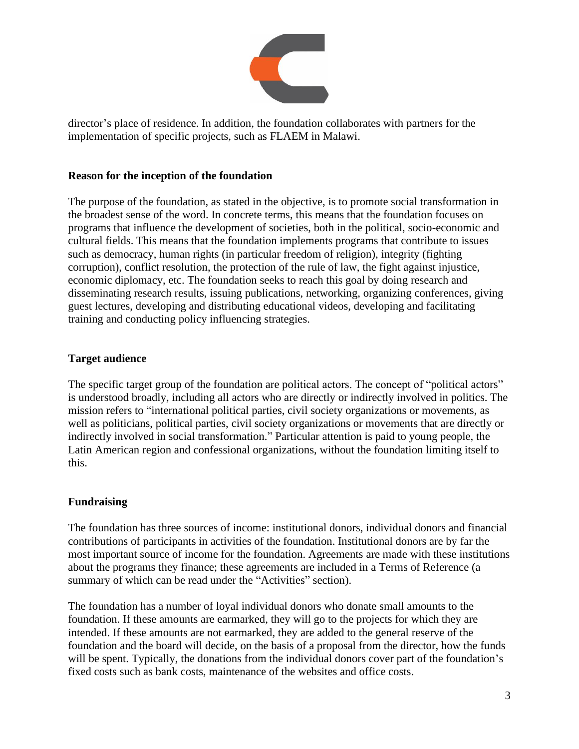

director's place of residence. In addition, the foundation collaborates with partners for the implementation of specific projects, such as FLAEM in Malawi.

## **Reason for the inception of the foundation**

The purpose of the foundation, as stated in the objective, is to promote social transformation in the broadest sense of the word. In concrete terms, this means that the foundation focuses on programs that influence the development of societies, both in the political, socio-economic and cultural fields. This means that the foundation implements programs that contribute to issues such as democracy, human rights (in particular freedom of religion), integrity (fighting corruption), conflict resolution, the protection of the rule of law, the fight against injustice, economic diplomacy, etc. The foundation seeks to reach this goal by doing research and disseminating research results, issuing publications, networking, organizing conferences, giving guest lectures, developing and distributing educational videos, developing and facilitating training and conducting policy influencing strategies.

## **Target audience**

The specific target group of the foundation are political actors. The concept of "political actors" is understood broadly, including all actors who are directly or indirectly involved in politics. The mission refers to "international political parties, civil society organizations or movements, as well as politicians, political parties, civil society organizations or movements that are directly or indirectly involved in social transformation." Particular attention is paid to young people, the Latin American region and confessional organizations, without the foundation limiting itself to this.

## **Fundraising**

The foundation has three sources of income: institutional donors, individual donors and financial contributions of participants in activities of the foundation. Institutional donors are by far the most important source of income for the foundation. Agreements are made with these institutions about the programs they finance; these agreements are included in a Terms of Reference (a summary of which can be read under the "Activities" section).

The foundation has a number of loyal individual donors who donate small amounts to the foundation. If these amounts are earmarked, they will go to the projects for which they are intended. If these amounts are not earmarked, they are added to the general reserve of the foundation and the board will decide, on the basis of a proposal from the director, how the funds will be spent. Typically, the donations from the individual donors cover part of the foundation's fixed costs such as bank costs, maintenance of the websites and office costs.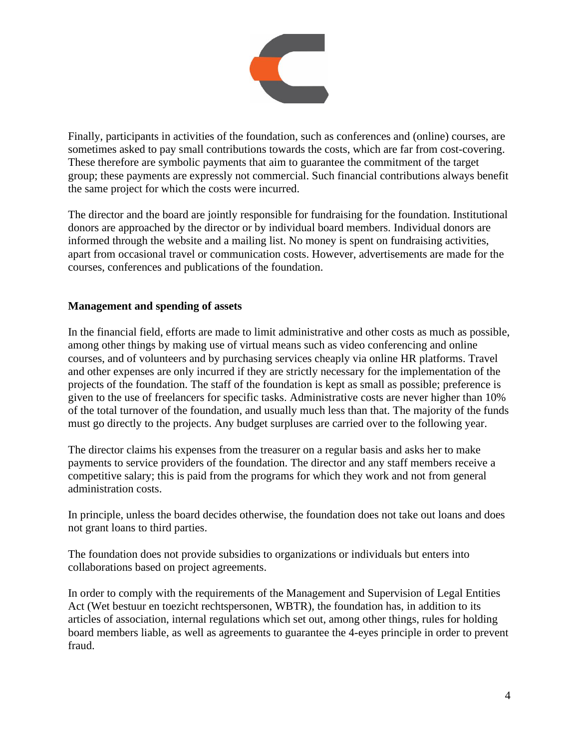

Finally, participants in activities of the foundation, such as conferences and (online) courses, are sometimes asked to pay small contributions towards the costs, which are far from cost-covering. These therefore are symbolic payments that aim to guarantee the commitment of the target group; these payments are expressly not commercial. Such financial contributions always benefit the same project for which the costs were incurred.

The director and the board are jointly responsible for fundraising for the foundation. Institutional donors are approached by the director or by individual board members. Individual donors are informed through the website and a mailing list. No money is spent on fundraising activities, apart from occasional travel or communication costs. However, advertisements are made for the courses, conferences and publications of the foundation.

## **Management and spending of assets**

In the financial field, efforts are made to limit administrative and other costs as much as possible, among other things by making use of virtual means such as video conferencing and online courses, and of volunteers and by purchasing services cheaply via online HR platforms. Travel and other expenses are only incurred if they are strictly necessary for the implementation of the projects of the foundation. The staff of the foundation is kept as small as possible; preference is given to the use of freelancers for specific tasks. Administrative costs are never higher than 10% of the total turnover of the foundation, and usually much less than that. The majority of the funds must go directly to the projects. Any budget surpluses are carried over to the following year.

The director claims his expenses from the treasurer on a regular basis and asks her to make payments to service providers of the foundation. The director and any staff members receive a competitive salary; this is paid from the programs for which they work and not from general administration costs.

In principle, unless the board decides otherwise, the foundation does not take out loans and does not grant loans to third parties.

The foundation does not provide subsidies to organizations or individuals but enters into collaborations based on project agreements.

In order to comply with the requirements of the Management and Supervision of Legal Entities Act (Wet bestuur en toezicht rechtspersonen, WBTR), the foundation has, in addition to its articles of association, internal regulations which set out, among other things, rules for holding board members liable, as well as agreements to guarantee the 4-eyes principle in order to prevent fraud.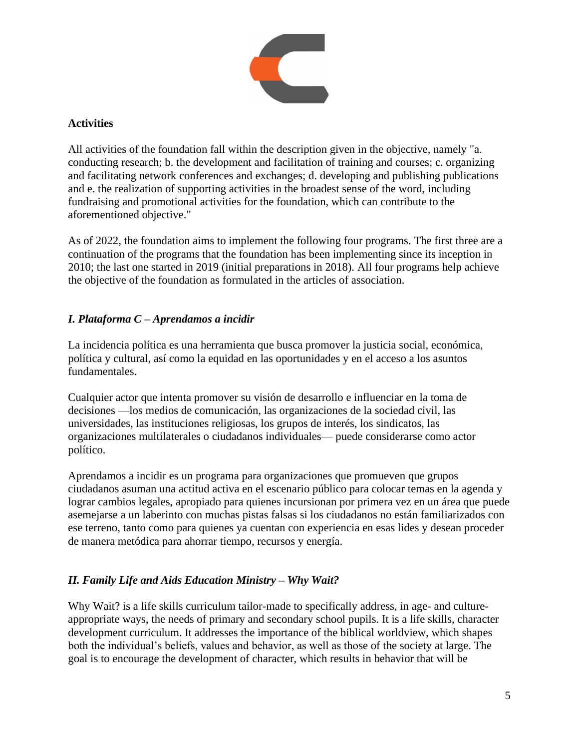

## **Activities**

All activities of the foundation fall within the description given in the objective, namely "a. conducting research; b. the development and facilitation of training and courses; c. organizing and facilitating network conferences and exchanges; d. developing and publishing publications and e. the realization of supporting activities in the broadest sense of the word, including fundraising and promotional activities for the foundation, which can contribute to the aforementioned objective."

As of 2022, the foundation aims to implement the following four programs. The first three are a continuation of the programs that the foundation has been implementing since its inception in 2010; the last one started in 2019 (initial preparations in 2018). All four programs help achieve the objective of the foundation as formulated in the articles of association.

## *I. Plataforma C – Aprendamos a incidir*

La incidencia política es una herramienta que busca promover la justicia social, económica, política y cultural, así como la equidad en las oportunidades y en el acceso a los asuntos fundamentales.

Cualquier actor que intenta promover su visión de desarrollo e influenciar en la toma de decisiones —los medios de comunicación, las organizaciones de la sociedad civil, las universidades, las instituciones religiosas, los grupos de interés, los sindicatos, las organizaciones multilaterales o ciudadanos individuales— puede considerarse como actor político.

Aprendamos a incidir es un programa para organizaciones que promueven que grupos ciudadanos asuman una actitud activa en el escenario público para colocar temas en la agenda y lograr cambios legales, apropiado para quienes incursionan por primera vez en un área que puede asemejarse a un laberinto con muchas pistas falsas si los ciudadanos no están familiarizados con ese terreno, tanto como para quienes ya cuentan con experiencia en esas lides y desean proceder de manera metódica para ahorrar tiempo, recursos y energía.

## *II. Family Life and Aids Education Ministry – Why Wait?*

Why Wait? is a life skills curriculum tailor-made to specifically address, in age- and cultureappropriate ways, the needs of primary and secondary school pupils. It is a life skills, character development curriculum. It addresses the importance of the biblical worldview, which shapes both the individual's beliefs, values and behavior, as well as those of the society at large. The goal is to encourage the development of character, which results in behavior that will be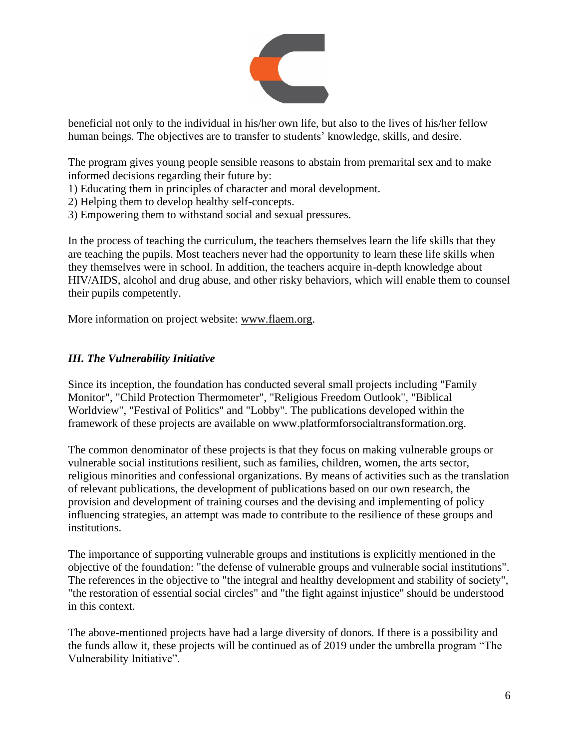

beneficial not only to the individual in his/her own life, but also to the lives of his/her fellow human beings. The objectives are to transfer to students' knowledge, skills, and desire.

The program gives young people sensible reasons to abstain from premarital sex and to make informed decisions regarding their future by:

- 1) Educating them in principles of character and moral development.
- 2) Helping them to develop healthy self-concepts.
- 3) Empowering them to withstand social and sexual pressures.

In the process of teaching the curriculum, the teachers themselves learn the life skills that they are teaching the pupils. Most teachers never had the opportunity to learn these life skills when they themselves were in school. In addition, the teachers acquire in-depth knowledge about HIV/AIDS, alcohol and drug abuse, and other risky behaviors, which will enable them to counsel their pupils competently.

More information on project website: [www.flaem.org.](http://www.flaem.org/)

## *III. The Vulnerability Initiative*

Since its inception, the foundation has conducted several small projects including "Family Monitor", "Child Protection Thermometer", "Religious Freedom Outlook", "Biblical Worldview", "Festival of Politics" and "Lobby". The publications developed within the framework of these projects are available on www.platformforsocialtransformation.org.

The common denominator of these projects is that they focus on making vulnerable groups or vulnerable social institutions resilient, such as families, children, women, the arts sector, religious minorities and confessional organizations. By means of activities such as the translation of relevant publications, the development of publications based on our own research, the provision and development of training courses and the devising and implementing of policy influencing strategies, an attempt was made to contribute to the resilience of these groups and institutions.

The importance of supporting vulnerable groups and institutions is explicitly mentioned in the objective of the foundation: "the defense of vulnerable groups and vulnerable social institutions". The references in the objective to "the integral and healthy development and stability of society", "the restoration of essential social circles" and "the fight against injustice" should be understood in this context.

The above-mentioned projects have had a large diversity of donors. If there is a possibility and the funds allow it, these projects will be continued as of 2019 under the umbrella program "The Vulnerability Initiative".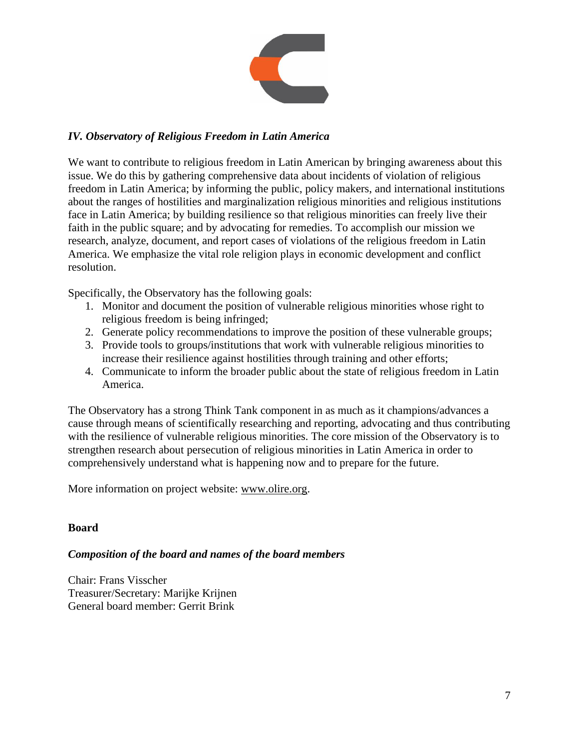

## *IV. Observatory of Religious Freedom in Latin America*

We want to contribute to religious freedom in Latin American by bringing awareness about this issue. We do this by gathering comprehensive data about incidents of violation of religious freedom in Latin America; by informing the public, policy makers, and international institutions about the ranges of hostilities and marginalization religious minorities and religious institutions face in Latin America; by building resilience so that religious minorities can freely live their faith in the public square; and by advocating for remedies. To accomplish our mission we research, analyze, document, and report cases of violations of the religious freedom in Latin America. We emphasize the vital role religion plays in economic development and conflict resolution.

Specifically, the Observatory has the following goals:

- 1. Monitor and document the position of vulnerable religious minorities whose right to religious freedom is being infringed;
- 2. Generate policy recommendations to improve the position of these vulnerable groups;
- 3. Provide tools to groups/institutions that work with vulnerable religious minorities to increase their resilience against hostilities through training and other efforts;
- 4. Communicate to inform the broader public about the state of religious freedom in Latin America.

The Observatory has a strong Think Tank component in as much as it champions/advances a cause through means of scientifically researching and reporting, advocating and thus contributing with the resilience of vulnerable religious minorities. The core mission of the Observatory is to strengthen research about persecution of religious minorities in Latin America in order to comprehensively understand what is happening now and to prepare for the future.

More information on project website: [www.olire.org.](http://www.olire.org/)

## **Board**

## *Composition of the board and names of the board members*

Chair: Frans Visscher Treasurer/Secretary: Marijke Krijnen General board member: Gerrit Brink